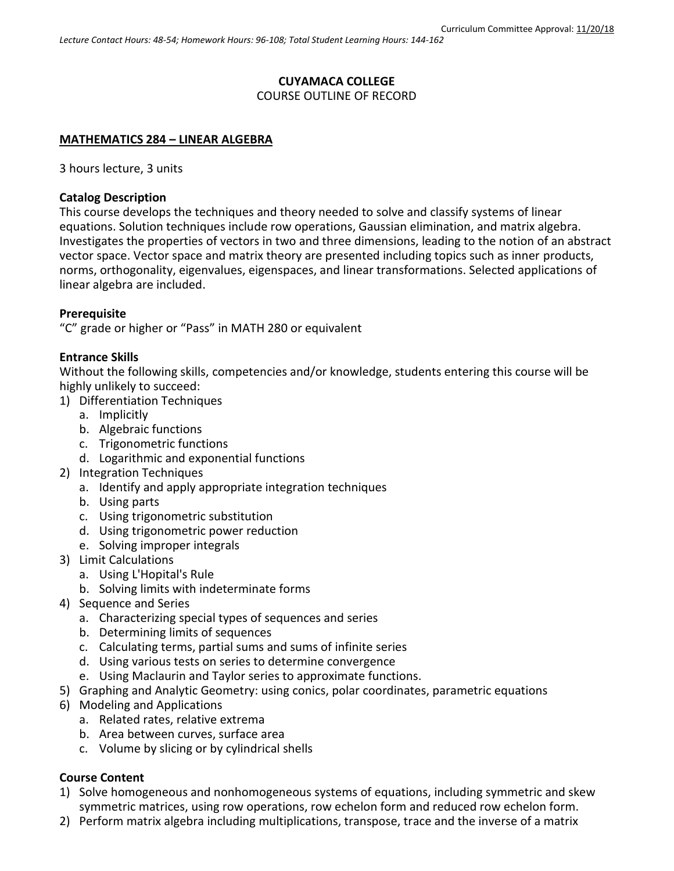# **CUYAMACA COLLEGE**

COURSE OUTLINE OF RECORD

# **MATHEMATICS 284 – LINEAR ALGEBRA**

3 hours lecture, 3 units

## **Catalog Description**

This course develops the techniques and theory needed to solve and classify systems of linear equations. Solution techniques include row operations, Gaussian elimination, and matrix algebra. Investigates the properties of vectors in two and three dimensions, leading to the notion of an abstract vector space. Vector space and matrix theory are presented including topics such as inner products, norms, orthogonality, eigenvalues, eigenspaces, and linear transformations. Selected applications of linear algebra are included.

# **Prerequisite**

"C" grade or higher or "Pass" in MATH 280 or equivalent

## **Entrance Skills**

Without the following skills, competencies and/or knowledge, students entering this course will be highly unlikely to succeed:

- 1) Differentiation Techniques
	- a. Implicitly
	- b. Algebraic functions
	- c. Trigonometric functions
	- d. Logarithmic and exponential functions
- 2) Integration Techniques
	- a. Identify and apply appropriate integration techniques
	- b. Using parts
	- c. Using trigonometric substitution
	- d. Using trigonometric power reduction
	- e. Solving improper integrals
- 3) Limit Calculations
	- a. Using L'Hopital's Rule
	- b. Solving limits with indeterminate forms
- 4) Sequence and Series
	- a. Characterizing special types of sequences and series
	- b. Determining limits of sequences
	- c. Calculating terms, partial sums and sums of infinite series
	- d. Using various tests on series to determine convergence
	- e. Using Maclaurin and Taylor series to approximate functions.
- 5) Graphing and Analytic Geometry: using conics, polar coordinates, parametric equations
- 6) Modeling and Applications
	- a. Related rates, relative extrema
	- b. Area between curves, surface area
	- c. Volume by slicing or by cylindrical shells

# **Course Content**

- 1) Solve homogeneous and nonhomogeneous systems of equations, including symmetric and skew symmetric matrices, using row operations, row echelon form and reduced row echelon form.
- 2) Perform matrix algebra including multiplications, transpose, trace and the inverse of a matrix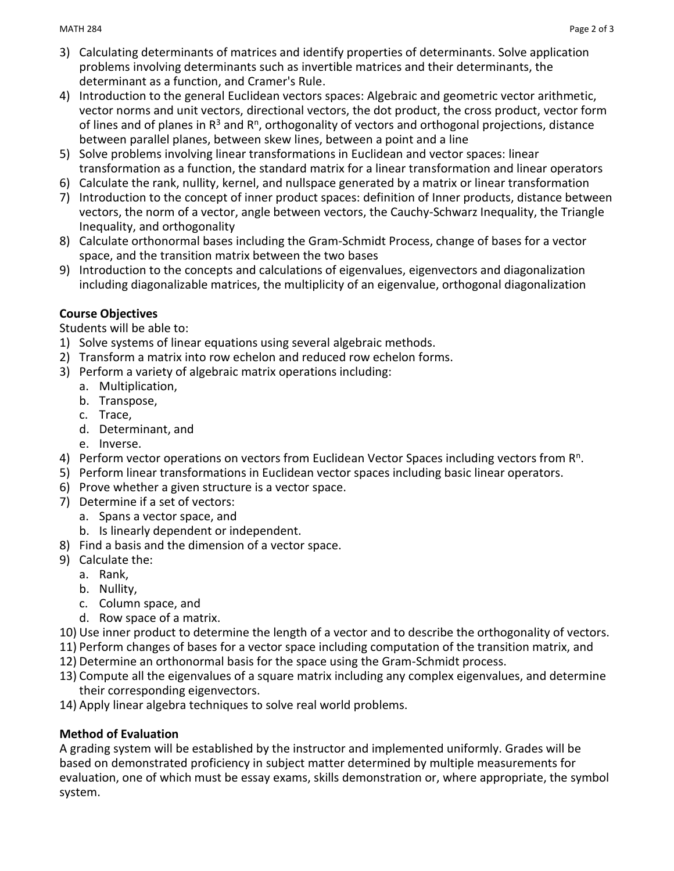- 3) Calculating determinants of matrices and identify properties of determinants. Solve application problems involving determinants such as invertible matrices and their determinants, the determinant as a function, and Cramer's Rule.
- 4) Introduction to the general Euclidean vectors spaces: Algebraic and geometric vector arithmetic, vector norms and unit vectors, directional vectors, the dot product, the cross product, vector form of lines and of planes in  $R^3$  and  $R^n$ , orthogonality of vectors and orthogonal projections, distance between parallel planes, between skew lines, between a point and a line
- 5) Solve problems involving linear transformations in Euclidean and vector spaces: linear transformation as a function, the standard matrix for a linear transformation and linear operators
- 6) Calculate the rank, nullity, kernel, and nullspace generated by a matrix or linear transformation
- 7) Introduction to the concept of inner product spaces: definition of Inner products, distance between vectors, the norm of a vector, angle between vectors, the Cauchy-Schwarz Inequality, the Triangle Inequality, and orthogonality
- 8) Calculate orthonormal bases including the Gram-Schmidt Process, change of bases for a vector space, and the transition matrix between the two bases
- 9) Introduction to the concepts and calculations of eigenvalues, eigenvectors and diagonalization including diagonalizable matrices, the multiplicity of an eigenvalue, orthogonal diagonalization

# **Course Objectives**

Students will be able to:

- 1) Solve systems of linear equations using several algebraic methods.
- 2) Transform a matrix into row echelon and reduced row echelon forms.
- 3) Perform a variety of algebraic matrix operations including:
	- a. Multiplication,
	- b. Transpose,
	- c. Trace,
	- d. Determinant, and
	- e. Inverse.
- 4) Perform vector operations on vectors from Euclidean Vector Spaces including vectors from R<sup>n</sup>.
- 5) Perform linear transformations in Euclidean vector spaces including basic linear operators.
- 6) Prove whether a given structure is a vector space.
- 7) Determine if a set of vectors:
	- a. Spans a vector space, and
	- b. Is linearly dependent or independent.
- 8) Find a basis and the dimension of a vector space.
- 9) Calculate the:
	- a. Rank,
	- b. Nullity,
	- c. Column space, and
	- d. Row space of a matrix.
- 10) Use inner product to determine the length of a vector and to describe the orthogonality of vectors.
- 11) Perform changes of bases for a vector space including computation of the transition matrix, and
- 12) Determine an orthonormal basis for the space using the Gram-Schmidt process.
- 13) Compute all the eigenvalues of a square matrix including any complex eigenvalues, and determine their corresponding eigenvectors.
- 14) Apply linear algebra techniques to solve real world problems.

# **Method of Evaluation**

A grading system will be established by the instructor and implemented uniformly. Grades will be based on demonstrated proficiency in subject matter determined by multiple measurements for evaluation, one of which must be essay exams, skills demonstration or, where appropriate, the symbol system.